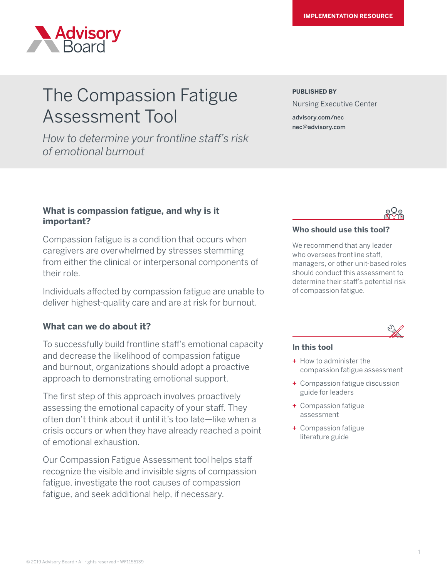

# The Compassion Fatigue Assessment Tool

*How to determine your frontline staff's risk of emotional burnout*

#### **PUBLISHED BY**

Nursing Executive Center

advisory.com/nec nec@advisory.com

# **What is compassion fatigue, and why is it important?**

Compassion fatigue is a condition that occurs when caregivers are overwhelmed by stresses stemming from either the clinical or interpersonal components of their role.

Individuals affected by compassion fatigue are unable to deliver highest-quality care and are at risk for burnout.

# **What can we do about it?**

To successfully build frontline staff's emotional capacity and decrease the likelihood of compassion fatigue and burnout, organizations should adopt a proactive approach to demonstrating emotional support.

The first step of this approach involves proactively assessing the emotional capacity of your staff. They often don't think about it until it's too late—like when a crisis occurs or when they have already reached a point of emotional exhaustion.

Our Compassion Fatigue Assessment tool helps staff recognize the visible and invisible signs of compassion fatigue, investigate the root causes of compassion fatigue, and seek additional help, if necessary.

# **Who should use this tool?**

We recommend that any leader who oversees frontline staff, managers, or other unit-based roles should conduct this assessment to determine their staff's potential risk of compassion fatigue.

## **In this tool**

- + How to administer the compassion fatigue assessment
- + Compassion fatigue discussion guide for leaders
- + Compassion fatigue assessment
- + Compassion fatigue literature guide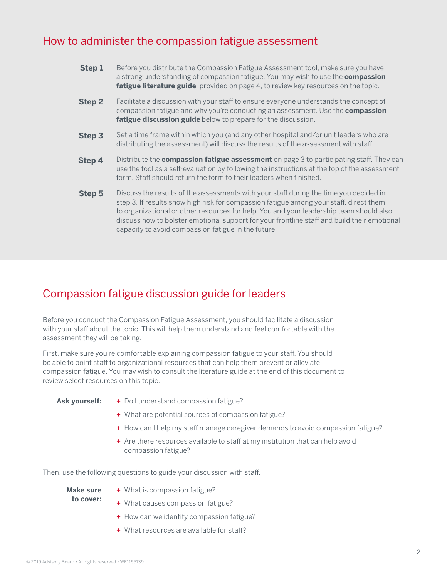# How to administer the compassion fatigue assessment

| Step 1        | Before you distribute the Compassion Fatigue Assessment tool, make sure you have<br>a strong understanding of compassion fatigue. You may wish to use the <b>compassion</b><br>fatigue literature guide, provided on page 4, to review key resources on the topic.                                                                                                                                                               |
|---------------|----------------------------------------------------------------------------------------------------------------------------------------------------------------------------------------------------------------------------------------------------------------------------------------------------------------------------------------------------------------------------------------------------------------------------------|
| <b>Step 2</b> | Facilitate a discussion with your staff to ensure everyone understands the concept of<br>compassion fatigue and why you're conducting an assessment. Use the <b>compassion</b><br>fatigue discussion guide below to prepare for the discussion.                                                                                                                                                                                  |
| Step 3        | Set a time frame within which you (and any other hospital and/or unit leaders who are<br>distributing the assessment) will discuss the results of the assessment with staff.                                                                                                                                                                                                                                                     |
| Step 4        | Distribute the <b>compassion fatigue assessment</b> on page 3 to participating staff. They can<br>use the tool as a self-evaluation by following the instructions at the top of the assessment<br>form. Staff should return the form to their leaders when finished.                                                                                                                                                             |
| Step 5        | Discuss the results of the assessments with your staff during the time you decided in<br>step 3. If results show high risk for compassion fatigue among your staff, direct them<br>to organizational or other resources for help. You and your leadership team should also<br>discuss how to bolster emotional support for your frontline staff and build their emotional<br>capacity to avoid compassion fatigue in the future. |

# Compassion fatigue discussion guide for leaders

Before you conduct the Compassion Fatigue Assessment, you should facilitate a discussion with your staff about the topic. This will help them understand and feel comfortable with the assessment they will be taking.

First, make sure you're comfortable explaining compassion fatigue to your staff. You should be able to point staff to organizational resources that can help them prevent or alleviate compassion fatigue. You may wish to consult the literature guide at the end of this document to review select resources on this topic.

#### **Ask yourself:**

- + Do I understand compassion fatigue?
- + What are potential sources of compassion fatigue?
- + How can I help my staff manage caregiver demands to avoid compassion fatigue?
- + Are there resources available to staff at my institution that can help avoid compassion fatigue?

Then, use the following questions to guide your discussion with staff.

| Make sure | + What is compassion fatigue?               |
|-----------|---------------------------------------------|
| to cover: | + What causes compassion fatigue?           |
|           | + How can we identify compassion fatigue?   |
|           | $+$ What resources are available for staff? |

© 2019 Advisory Board • All rights reserved • WF1155139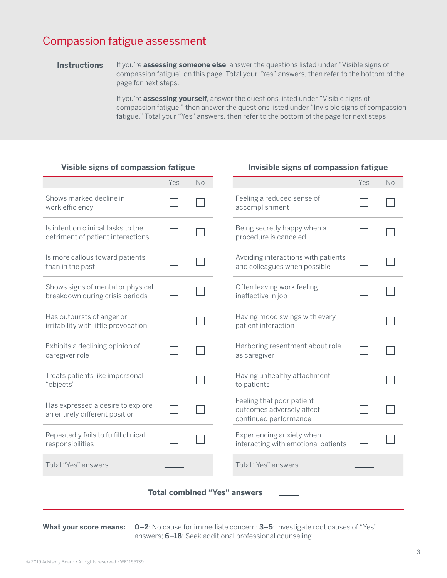# Compassion fatigue assessment

If you're **assessing someone else**, answer the questions listed under "Visible signs of compassion fatigue" on this page. Total your "Yes" answers, then refer to the bottom of the page for next steps. **Instructions**

> If you're **assessing yourself**, answer the questions listed under "Visible signs of compassion fatigue," then answer the questions listed under "Invisible signs of compassion fatigue." Total your "Yes" answers, then refer to the bottom of the page for next steps.

#### **Visible signs of compassion fatigue**

|                                                                         | Yes | No |  |                                                                                 | Yes | <b>No</b> |  |  |  |  |
|-------------------------------------------------------------------------|-----|----|--|---------------------------------------------------------------------------------|-----|-----------|--|--|--|--|
| Shows marked decline in<br>work efficiency                              |     |    |  | Feeling a reduced sense of<br>accomplishment                                    |     |           |  |  |  |  |
| Is intent on clinical tasks to the<br>detriment of patient interactions |     |    |  | Being secretly happy when a<br>procedure is canceled                            |     |           |  |  |  |  |
| Is more callous toward patients<br>than in the past                     |     |    |  | Avoiding interactions with patients<br>and colleagues when possible             |     |           |  |  |  |  |
| Shows signs of mental or physical<br>breakdown during crisis periods    |     |    |  | Often leaving work feeling<br>ineffective in job                                |     |           |  |  |  |  |
| Has outbursts of anger or<br>irritability with little provocation       |     |    |  | Having mood swings with every<br>patient interaction                            |     |           |  |  |  |  |
| Exhibits a declining opinion of<br>caregiver role                       |     |    |  | Harboring resentment about role<br>as caregiver                                 |     |           |  |  |  |  |
| Treats patients like impersonal<br>"objects"                            |     |    |  | Having unhealthy attachment<br>to patients                                      |     |           |  |  |  |  |
| Has expressed a desire to explore<br>an entirely different position     |     |    |  | Feeling that poor patient<br>outcomes adversely affect<br>continued performance |     |           |  |  |  |  |
| Repeatedly fails to fulfill clinical<br>responsibilities                |     |    |  | Experiencing anxiety when<br>interacting with emotional patients                |     |           |  |  |  |  |
| Total "Yes" answers                                                     |     |    |  | Total "Yes" answers                                                             |     |           |  |  |  |  |
| <b>Total combined "Yes" answers</b>                                     |     |    |  |                                                                                 |     |           |  |  |  |  |
|                                                                         |     |    |  |                                                                                 |     |           |  |  |  |  |

**What your score means: 0–2**: No cause for immediate concern; **3–5**: Investigate root causes of "Yes" answers; **6–18**: Seek additional professional counseling.

#### **Invisible signs of compassion fatigue**